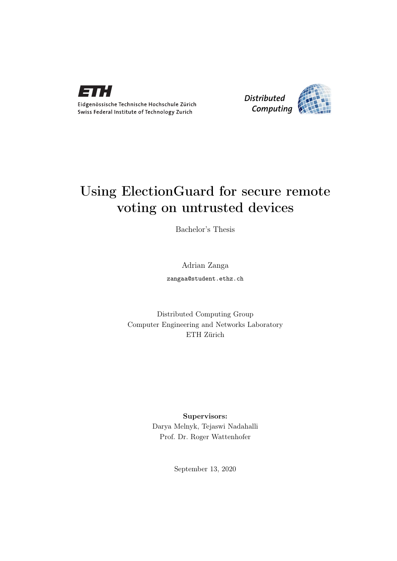

Eidgenössische Technische Hochschule Zürich Swiss Federal Institute of Technology Zurich



# Using ElectionGuard for secure remote voting on untrusted devices

Bachelor's Thesis

Adrian Zanga zangaa@student.ethz.ch

Distributed Computing Group Computer Engineering and Networks Laboratory ETH Zürich

> Supervisors: Darya Melnyk, Tejaswi Nadahalli Prof. Dr. Roger Wattenhofer

> > September 13, 2020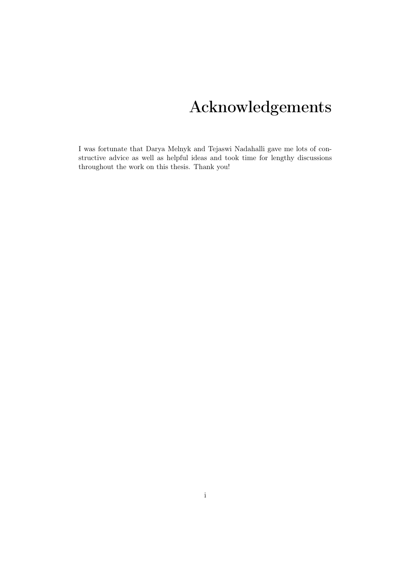# Acknowledgements

<span id="page-1-0"></span>I was fortunate that Darya Melnyk and Tejaswi Nadahalli gave me lots of constructive advice as well as helpful ideas and took time for lengthy discussions throughout the work on this thesis. Thank you!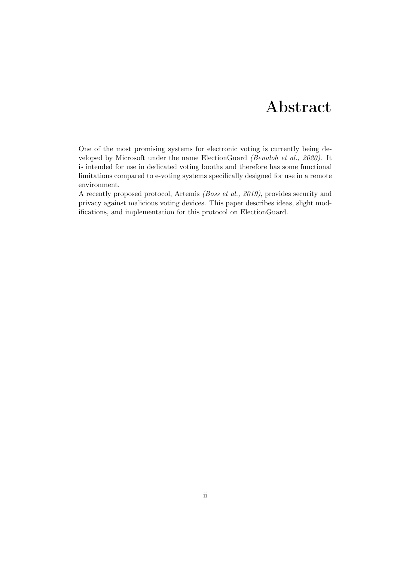# Abstract

<span id="page-2-0"></span>One of the most promising systems for electronic voting is currently being developed by Microsoft under the name ElectionGuard (Benaloh et al., 2020). It is intended for use in dedicated voting booths and therefore has some functional limitations compared to e-voting systems specifically designed for use in a remote environment.

A recently proposed protocol, Artemis (Boss et al., 2019), provides security and privacy against malicious voting devices. This paper describes ideas, slight modifications, and implementation for this protocol on ElectionGuard.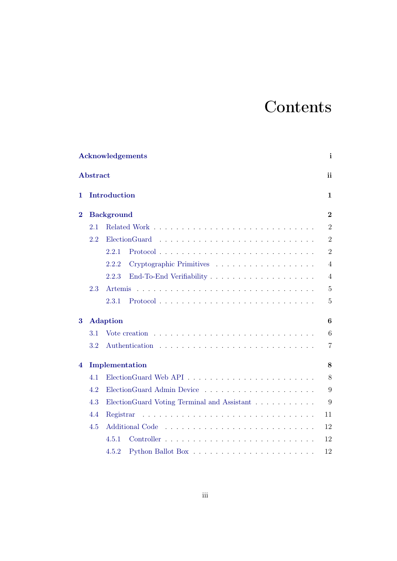# **Contents**

| Acknowledgements<br><b>Abstract</b> |     |                                                                                                   |                  |  |
|-------------------------------------|-----|---------------------------------------------------------------------------------------------------|------------------|--|
|                                     |     |                                                                                                   |                  |  |
| $\bf{2}$                            |     | <b>Background</b>                                                                                 | $\boldsymbol{2}$ |  |
|                                     | 2.1 |                                                                                                   | $\overline{2}$   |  |
|                                     | 2.2 | ElectionGuard                                                                                     | $\overline{2}$   |  |
|                                     |     | 2.2.1                                                                                             | $\overline{2}$   |  |
|                                     |     | Cryptographic Primitives<br>2.2.2                                                                 | $\overline{4}$   |  |
|                                     |     | 2.2.3                                                                                             | $\overline{4}$   |  |
|                                     | 2.3 | <b>Artemis</b>                                                                                    | $\overline{5}$   |  |
|                                     |     | $Protocol \dots \dots \dots \dots \dots \dots \dots \dots \dots \dots \dots \dots \dots$<br>2.3.1 | 5                |  |
| 3                                   |     | <b>Adaption</b>                                                                                   | 6                |  |
|                                     | 3.1 | Vote creation $\ldots \ldots \ldots \ldots \ldots \ldots \ldots \ldots \ldots$                    | 6                |  |
|                                     | 3.2 |                                                                                                   | $\overline{7}$   |  |
| 4                                   |     | Implementation                                                                                    | 8                |  |
|                                     | 4.1 |                                                                                                   | 8                |  |
|                                     | 4.2 |                                                                                                   | 9                |  |
|                                     | 4.3 | ElectionGuard Voting Terminal and Assistant                                                       | 9                |  |
|                                     | 4.4 | Registrar                                                                                         | 11               |  |
|                                     | 4.5 | <b>Additional Code</b>                                                                            | 12               |  |
|                                     |     | 4.5.1                                                                                             | 12               |  |
|                                     |     | 4.5.2                                                                                             | 12               |  |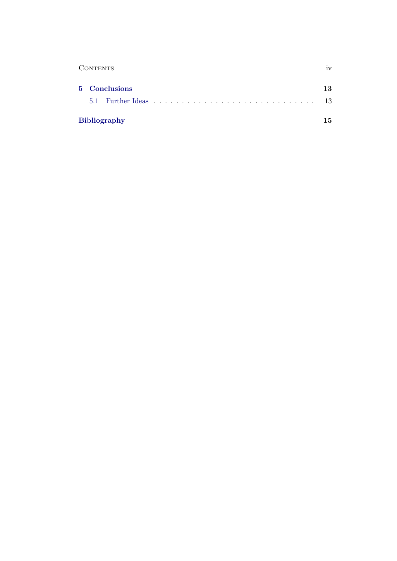| <b>CONTENTS</b>     |               |    |
|---------------------|---------------|----|
|                     | 5 Conclusions | 13 |
|                     |               | 13 |
| <b>Bibliography</b> |               |    |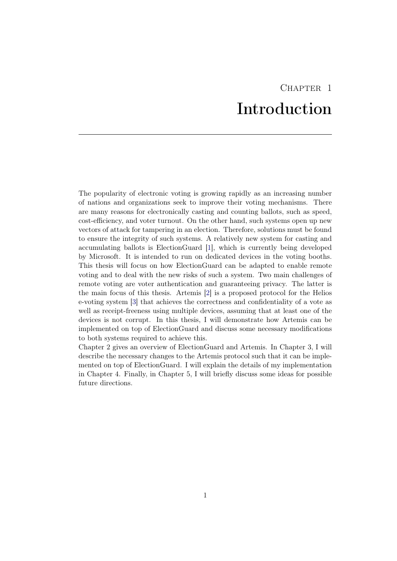# CHAPTER<sub>1</sub> Introduction

<span id="page-5-0"></span>The popularity of electronic voting is growing rapidly as an increasing number of nations and organizations seek to improve their voting mechanisms. There are many reasons for electronically casting and counting ballots, such as speed, cost-efficiency, and voter turnout. On the other hand, such systems open up new vectors of attack for tampering in an election. Therefore, solutions must be found to ensure the integrity of such systems. A relatively new system for casting and accumulating ballots is ElectionGuard [\[1\]](#page-19-1), which is currently being developed by Microsoft. It is intended to run on dedicated devices in the voting booths. This thesis will focus on how ElectionGuard can be adapted to enable remote voting and to deal with the new risks of such a system. Two main challenges of remote voting are voter authentication and guaranteeing privacy. The latter is the main focus of this thesis. Artemis [\[2\]](#page-19-2) is a proposed protocol for the Helios e-voting system [\[3\]](#page-19-3) that achieves the correctness and confidentiality of a vote as well as receipt-freeness using multiple devices, assuming that at least one of the devices is not corrupt. In this thesis, I will demonstrate how Artemis can be implemented on top of ElectionGuard and discuss some necessary modifications to both systems required to achieve this.

Chapter 2 gives an overview of ElectionGuard and Artemis. In Chapter 3, I will describe the necessary changes to the Artemis protocol such that it can be implemented on top of ElectionGuard. I will explain the details of my implementation in Chapter 4. Finally, in Chapter 5, I will briefly discuss some ideas for possible future directions.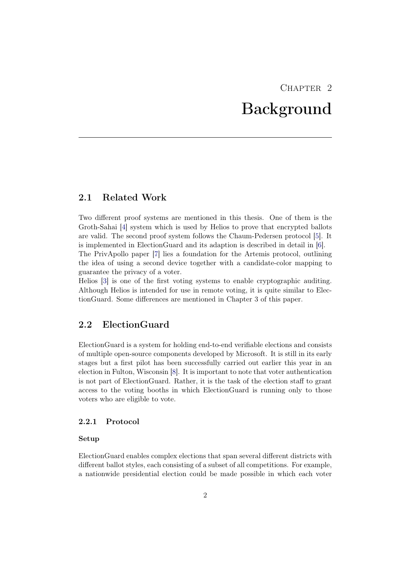# $CHAPTER$  2 Background

## <span id="page-6-1"></span><span id="page-6-0"></span>2.1 Related Work

Two different proof systems are mentioned in this thesis. One of them is the Groth-Sahai [\[4\]](#page-19-4) system which is used by Helios to prove that encrypted ballots are valid. The second proof system follows the Chaum-Pedersen protocol [\[5\]](#page-19-5). It is implemented in ElectionGuard and its adaption is described in detail in [\[6\]](#page-19-6). The PrivApollo paper [\[7\]](#page-19-7) lies a foundation for the Artemis protocol, outlining the idea of using a second device together with a candidate-color mapping to guarantee the privacy of a voter.

Helios [\[3\]](#page-19-3) is one of the first voting systems to enable cryptographic auditing. Although Helios is intended for use in remote voting, it is quite similar to ElectionGuard. Some differences are mentioned in Chapter 3 of this paper.

## <span id="page-6-2"></span>2.2 ElectionGuard

ElectionGuard is a system for holding end-to-end verifiable elections and consists of multiple open-source components developed by Microsoft. It is still in its early stages but a first pilot has been successfully carried out earlier this year in an election in Fulton, Wisconsin [\[8\]](#page-19-8). It is important to note that voter authentication is not part of ElectionGuard. Rather, it is the task of the election staff to grant access to the voting booths in which ElectionGuard is running only to those voters who are eligible to vote.

### <span id="page-6-3"></span>2.2.1 Protocol

### Setup

ElectionGuard enables complex elections that span several different districts with different ballot styles, each consisting of a subset of all competitions. For example, a nationwide presidential election could be made possible in which each voter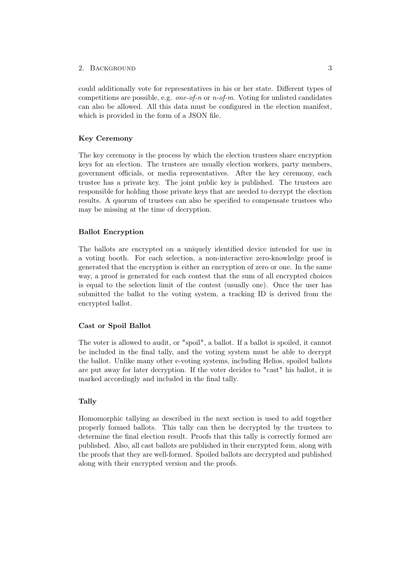### 2. BACKGROUND 3

could additionally vote for representatives in his or her state. Different types of competitions are possible, e.g. one-of-n or  $n$ -of-m. Voting for unlisted candidates can also be allowed. All this data must be configured in the election manifest, which is provided in the form of a JSON file.

### Key Ceremony

The key ceremony is the process by which the election trustees share encryption keys for an election. The trustees are usually election workers, party members, government officials, or media representatives. After the key ceremony, each trustee has a private key. The joint public key is published. The trustees are responsible for holding those private keys that are needed to decrypt the election results. A quorum of trustees can also be specified to compensate trustees who may be missing at the time of decryption.

### Ballot Encryption

The ballots are encrypted on a uniquely identified device intended for use in a voting booth. For each selection, a non-interactive zero-knowledge proof is generated that the encryption is either an encryption of zero or one. In the same way, a proof is generated for each contest that the sum of all encrypted choices is equal to the selection limit of the contest (usually one). Once the user has submitted the ballot to the voting system, a tracking ID is derived from the encrypted ballot.

### Cast or Spoil Ballot

The voter is allowed to audit, or "spoil", a ballot. If a ballot is spoiled, it cannot be included in the final tally, and the voting system must be able to decrypt the ballot. Unlike many other e-voting systems, including Helios, spoiled ballots are put away for later decryption. If the voter decides to "cast" his ballot, it is marked accordingly and included in the final tally.

#### Tally

Homomorphic tallying as described in the next section is used to add together properly formed ballots. This tally can then be decrypted by the trustees to determine the final election result. Proofs that this tally is correctly formed are published. Also, all cast ballots are published in their encrypted form, along with the proofs that they are well-formed. Spoiled ballots are decrypted and published along with their encrypted version and the proofs.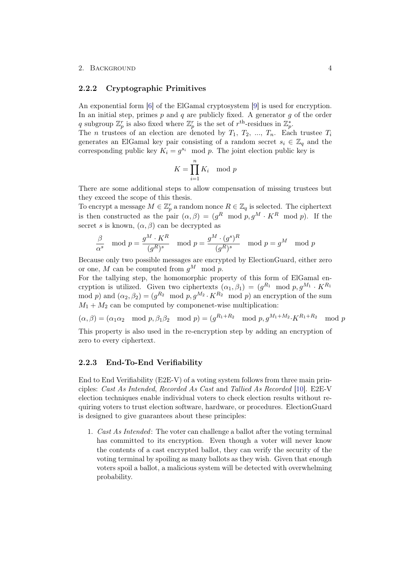#### 2. BACKGROUND 4

### <span id="page-8-0"></span>2.2.2 Cryptographic Primitives

An exponential form [\[6\]](#page-19-6) of the ElGamal cryptosystem [\[9\]](#page-19-9) is used for encryption. In an initial step, primes  $p$  and  $q$  are publicly fixed. A generator  $q$  of the order q subgroup  $\mathbb{Z}_p^r$  is also fixed where  $\mathbb{Z}_p^r$  is the set of  $r^{\text{th}}$ -residues in  $\mathbb{Z}_p^*$ .

The *n* trustees of an election are denoted by  $T_1, T_2, ..., T_n$ . Each trustee  $T_i$ generates an ElGamal key pair consisting of a random secret  $s_i \in \mathbb{Z}_q$  and the corresponding public key  $K_i = g^{s_i} \mod p$ . The joint election public key is

$$
K = \prod_{i=1}^{n} K_i \mod p
$$

There are some additional steps to allow compensation of missing trustees but they exceed the scope of this thesis.

To encrypt a message  $M \in \mathbb{Z}_p^r$  a random nonce  $R \in \mathbb{Z}_q$  is selected. The ciphertext is then constructed as the pair  $(\alpha, \beta) = (g^R \mod p, g^M \cdot K^R \mod p)$ . If the secret s is known,  $(\alpha, \beta)$  can be decrypted as

$$
\frac{\beta}{\alpha^s} \mod p = \frac{g^M \cdot K^R}{(g^R)^s} \mod p = \frac{g^M \cdot (g^s)^R}{(g^R)^s} \mod p = g^M \mod p
$$

Because only two possible messages are encrypted by ElectionGuard, either zero or one, M can be computed from  $q^M$  mod p.

For the tallying step, the homomorphic property of this form of ElGamal encryption is utilized. Given two ciphertexts  $(\alpha_1, \beta_1) = (g^{R_1} \mod p, g^{M_1} \cdot K^{R_1})$ mod p) and  $(\alpha_2, \beta_2) = (g^{R_2} \mod p, g^{M_2} \cdot K^{R_2} \mod p)$  an encryption of the sum  $M_1 + M_2$  can be computed by componenet-wise multiplication:

$$
(\alpha, \beta) = (\alpha_1 \alpha_2 \mod p, \beta_1 \beta_2 \mod p) = (g^{R_1 + R_2} \mod p, g^{M_1 + M_2} \cdot K^{R_1 + R_2} \mod p)
$$

This property is also used in the re-encryption step by adding an encryption of zero to every ciphertext.

### <span id="page-8-1"></span>2.2.3 End-To-End Verifiability

End to End Verifiability (E2E-V) of a voting system follows from three main principles: Cast As Intended, Recorded As Cast and Tallied As Recorded [\[10\]](#page-19-10). E2E-V election techniques enable individual voters to check election results without requiring voters to trust election software, hardware, or procedures. ElectionGuard is designed to give guarantees about these principles:

1. Cast As Intended: The voter can challenge a ballot after the voting terminal has committed to its encryption. Even though a voter will never know the contents of a cast encrypted ballot, they can verify the security of the voting terminal by spoiling as many ballots as they wish. Given that enough voters spoil a ballot, a malicious system will be detected with overwhelming probability.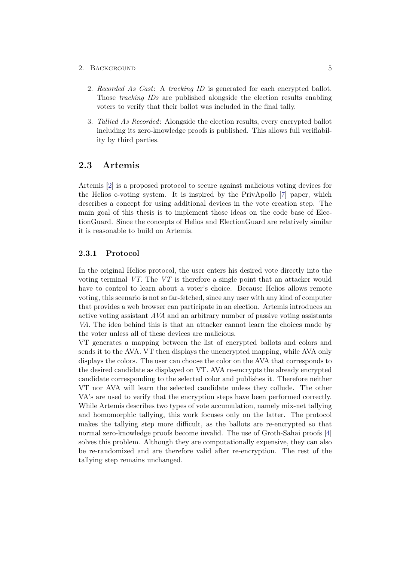### 2. BACKGROUND 5

- 2. Recorded As Cast: A tracking ID is generated for each encrypted ballot. Those tracking IDs are published alongside the election results enabling voters to verify that their ballot was included in the final tally.
- 3. Tallied As Recorded: Alongside the election results, every encrypted ballot including its zero-knowledge proofs is published. This allows full verifiability by third parties.

## <span id="page-9-0"></span>2.3 Artemis

Artemis [\[2\]](#page-19-2) is a proposed protocol to secure against malicious voting devices for the Helios e-voting system. It is inspired by the PrivApollo [\[7\]](#page-19-7) paper, which describes a concept for using additional devices in the vote creation step. The main goal of this thesis is to implement those ideas on the code base of ElectionGuard. Since the concepts of Helios and ElectionGuard are relatively similar it is reasonable to build on Artemis.

### <span id="page-9-1"></span>2.3.1 Protocol

In the original Helios protocol, the user enters his desired vote directly into the voting terminal VT. The VT is therefore a single point that an attacker would have to control to learn about a voter's choice. Because Helios allows remote voting, this scenario is not so far-fetched, since any user with any kind of computer that provides a web browser can participate in an election. Artemis introduces an active voting assistant AVA and an arbitrary number of passive voting assistants VA. The idea behind this is that an attacker cannot learn the choices made by the voter unless all of these devices are malicious.

VT generates a mapping between the list of encrypted ballots and colors and sends it to the AVA. VT then displays the unencrypted mapping, while AVA only displays the colors. The user can choose the color on the AVA that corresponds to the desired candidate as displayed on VT. AVA re-encrypts the already encrypted candidate corresponding to the selected color and publishes it. Therefore neither VT nor AVA will learn the selected candidate unless they collude. The other VA's are used to verify that the encryption steps have been performed correctly. While Artemis describes two types of vote accumulation, namely mix-net tallying and homomorphic tallying, this work focuses only on the latter. The protocol makes the tallying step more difficult, as the ballots are re-encrypted so that normal zero-knowledge proofs become invalid. The use of Groth-Sahai proofs [\[4\]](#page-19-4) solves this problem. Although they are computationally expensive, they can also be re-randomized and are therefore valid after re-encryption. The rest of the tallying step remains unchanged.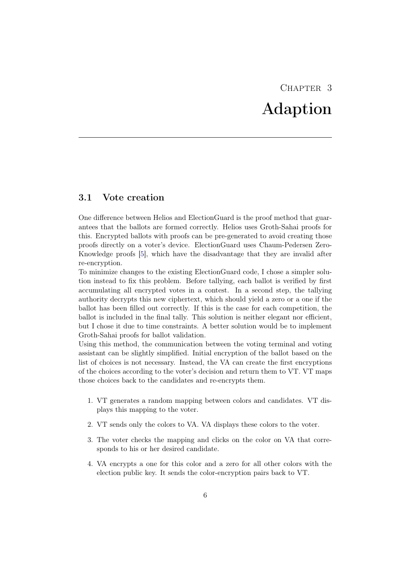# CHAPTER<sub>3</sub> Adaption

## <span id="page-10-1"></span><span id="page-10-0"></span>3.1 Vote creation

One difference between Helios and ElectionGuard is the proof method that guarantees that the ballots are formed correctly. Helios uses Groth-Sahai proofs for this. Encrypted ballots with proofs can be pre-generated to avoid creating those proofs directly on a voter's device. ElectionGuard uses Chaum-Pedersen Zero-Knowledge proofs [\[5\]](#page-19-5), which have the disadvantage that they are invalid after re-encryption.

To minimize changes to the existing ElectionGuard code, I chose a simpler solution instead to fix this problem. Before tallying, each ballot is verified by first accumulating all encrypted votes in a contest. In a second step, the tallying authority decrypts this new ciphertext, which should yield a zero or a one if the ballot has been filled out correctly. If this is the case for each competition, the ballot is included in the final tally. This solution is neither elegant nor efficient, but I chose it due to time constraints. A better solution would be to implement Groth-Sahai proofs for ballot validation.

Using this method, the communication between the voting terminal and voting assistant can be slightly simplified. Initial encryption of the ballot based on the list of choices is not necessary. Instead, the VA can create the first encryptions of the choices according to the voter's decision and return them to VT. VT maps those choices back to the candidates and re-encrypts them.

- 1. VT generates a random mapping between colors and candidates. VT displays this mapping to the voter.
- 2. VT sends only the colors to VA. VA displays these colors to the voter.
- 3. The voter checks the mapping and clicks on the color on VA that corresponds to his or her desired candidate.
- 4. VA encrypts a one for this color and a zero for all other colors with the election public key. It sends the color-encryption pairs back to VT.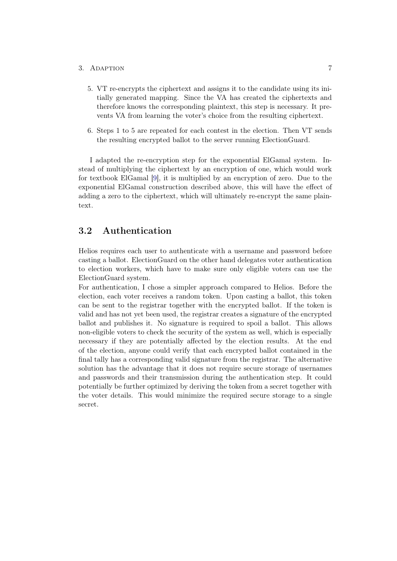### 3. ADAPTION 7

- 5. VT re-encrypts the ciphertext and assigns it to the candidate using its initially generated mapping. Since the VA has created the ciphertexts and therefore knows the corresponding plaintext, this step is necessary. It prevents VA from learning the voter's choice from the resulting ciphertext.
- 6. Steps 1 to 5 are repeated for each contest in the election. Then VT sends the resulting encrypted ballot to the server running ElectionGuard.

I adapted the re-encryption step for the exponential ElGamal system. Instead of multiplying the ciphertext by an encryption of one, which would work for textbook ElGamal [\[9\]](#page-19-9), it is multiplied by an encryption of zero. Due to the exponential ElGamal construction described above, this will have the effect of adding a zero to the ciphertext, which will ultimately re-encrypt the same plaintext.

## <span id="page-11-0"></span>3.2 Authentication

Helios requires each user to authenticate with a username and password before casting a ballot. ElectionGuard on the other hand delegates voter authentication to election workers, which have to make sure only eligible voters can use the ElectionGuard system.

For authentication, I chose a simpler approach compared to Helios. Before the election, each voter receives a random token. Upon casting a ballot, this token can be sent to the registrar together with the encrypted ballot. If the token is valid and has not yet been used, the registrar creates a signature of the encrypted ballot and publishes it. No signature is required to spoil a ballot. This allows non-eligible voters to check the security of the system as well, which is especially necessary if they are potentially affected by the election results. At the end of the election, anyone could verify that each encrypted ballot contained in the final tally has a corresponding valid signature from the registrar. The alternative solution has the advantage that it does not require secure storage of usernames and passwords and their transmission during the authentication step. It could potentially be further optimized by deriving the token from a secret together with the voter details. This would minimize the required secure storage to a single secret.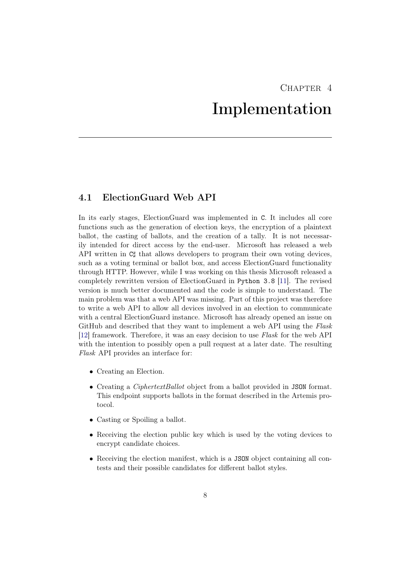# $CHAPTER$  4

# Implementation

## <span id="page-12-1"></span><span id="page-12-0"></span>4.1 ElectionGuard Web API

In its early stages, ElectionGuard was implemented in C. It includes all core functions such as the generation of election keys, the encryption of a plaintext ballot, the casting of ballots, and the creation of a tally. It is not necessarily intended for direct access by the end-user. Microsoft has released a web API written in  $C_{\mathcal{I}}^{\dagger}$  that allows developers to program their own voting devices, such as a voting terminal or ballot box, and access ElectionGuard functionality through HTTP. However, while I was working on this thesis Microsoft released a completely rewritten version of ElectionGuard in Python 3.8 [\[11\]](#page-19-11). The revised version is much better documented and the code is simple to understand. The main problem was that a web API was missing. Part of this project was therefore to write a web API to allow all devices involved in an election to communicate with a central ElectionGuard instance. Microsoft has already opened an issue on GitHub and described that they want to implement a web API using the Flask [\[12\]](#page-19-12) framework. Therefore, it was an easy decision to use Flask for the web API with the intention to possibly open a pull request at a later date. The resulting Flask API provides an interface for:

- Creating an Election.
- Creating a *CiphertextBallot* object from a ballot provided in JSON format. This endpoint supports ballots in the format described in the Artemis protocol.
- Casting or Spoiling a ballot.
- Receiving the election public key which is used by the voting devices to encrypt candidate choices.
- Receiving the election manifest, which is a JSON object containing all contests and their possible candidates for different ballot styles.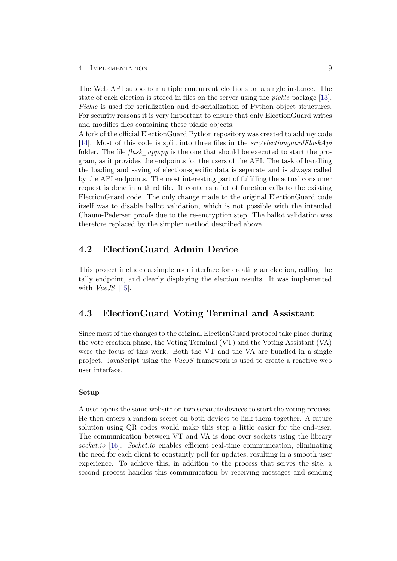### 4. Implementation 9

The Web API supports multiple concurrent elections on a single instance. The state of each election is stored in files on the server using the pickle package [\[13\]](#page-19-13). Pickle is used for serialization and de-serialization of Python object structures. For security reasons it is very important to ensure that only ElectionGuard writes and modifies files containing these pickle objects.

A fork of the official ElectionGuard Python repository was created to add my code [\[14\]](#page-20-0). Most of this code is split into three files in the src/electionguardFlaskApi folder. The file  $\text{flask}$  app.py is the one that should be executed to start the program, as it provides the endpoints for the users of the API. The task of handling the loading and saving of election-specific data is separate and is always called by the API endpoints. The most interesting part of fulfilling the actual consumer request is done in a third file. It contains a lot of function calls to the existing ElectionGuard code. The only change made to the original ElectionGuard code itself was to disable ballot validation, which is not possible with the intended Chaum-Pedersen proofs due to the re-encryption step. The ballot validation was therefore replaced by the simpler method described above.

## <span id="page-13-0"></span>4.2 ElectionGuard Admin Device

This project includes a simple user interface for creating an election, calling the tally endpoint, and clearly displaying the election results. It was implemented with VueJS [\[15\]](#page-20-1).

## <span id="page-13-1"></span>4.3 ElectionGuard Voting Terminal and Assistant

Since most of the changes to the original ElectionGuard protocol take place during the vote creation phase, the Voting Terminal (VT) and the Voting Assistant (VA) were the focus of this work. Both the VT and the VA are bundled in a single project. JavaScript using the VueJS framework is used to create a reactive web user interface.

### Setup

A user opens the same website on two separate devices to start the voting process. He then enters a random secret on both devices to link them together. A future solution using QR codes would make this step a little easier for the end-user. The communication between VT and VA is done over sockets using the library socket.io [\[16\]](#page-20-2). Socket.io enables efficient real-time communication, eliminating the need for each client to constantly poll for updates, resulting in a smooth user experience. To achieve this, in addition to the process that serves the site, a second process handles this communication by receiving messages and sending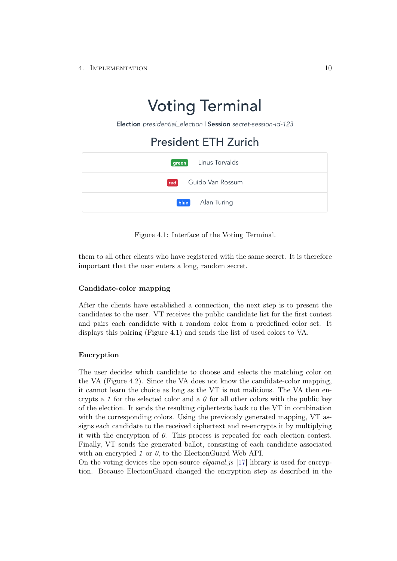# **Voting Terminal**

Election presidential election | Session secret-session-id-123

## **President ETH Zurich**

| green Linus Torvalds |
|----------------------|
| red Guido Van Rossum |
| blue Alan Turing     |

Figure 4.1: Interface of the Voting Terminal.

them to all other clients who have registered with the same secret. It is therefore important that the user enters a long, random secret.

### Candidate-color mapping

After the clients have established a connection, the next step is to present the candidates to the user. VT receives the public candidate list for the first contest and pairs each candidate with a random color from a predefined color set. It displays this pairing (Figure 4.1) and sends the list of used colors to VA.

### Encryption

The user decides which candidate to choose and selects the matching color on the VA (Figure 4.2). Since the VA does not know the candidate-color mapping, it cannot learn the choice as long as the VT is not malicious. The VA then encrypts a 1 for the selected color and a  $\theta$  for all other colors with the public key of the election. It sends the resulting ciphertexts back to the VT in combination with the corresponding colors. Using the previously generated mapping, VT assigns each candidate to the received ciphertext and re-encrypts it by multiplying it with the encryption of  $\theta$ . This process is repeated for each election contest. Finally, VT sends the generated ballot, consisting of each candidate associated with an encrypted 1 or  $\theta$ , to the ElectionGuard Web API.

On the voting devices the open-source *elgamal.js*  $[17]$  library is used for encryption. Because ElectionGuard changed the encryption step as described in the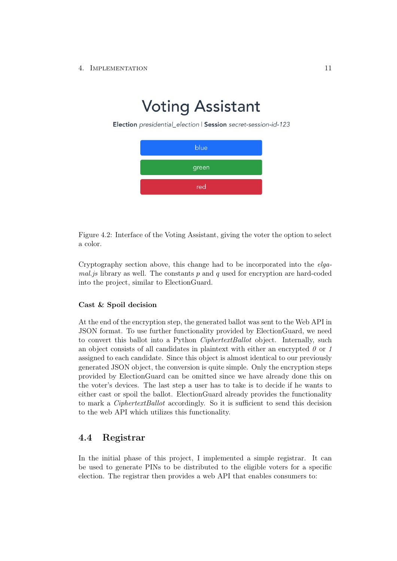### 4. Implementation 11

# **Voting Assistant**

Election presidential election | Session secret-session-id-123



Figure 4.2: Interface of the Voting Assistant, giving the voter the option to select a color.

Cryptography section above, this change had to be incorporated into the elga $mal.$ js library as well. The constants p and q used for encryption are hard-coded into the project, similar to ElectionGuard.

### Cast & Spoil decision

At the end of the encryption step, the generated ballot was sent to the Web API in JSON format. To use further functionality provided by ElectionGuard, we need to convert this ballot into a Python *CiphertextBallot* object. Internally, such an object consists of all candidates in plaintext with either an encrypted  $\theta$  or 1 assigned to each candidate. Since this object is almost identical to our previously generated JSON object, the conversion is quite simple. Only the encryption steps provided by ElectionGuard can be omitted since we have already done this on the voter's devices. The last step a user has to take is to decide if he wants to either cast or spoil the ballot. ElectionGuard already provides the functionality to mark a CiphertextBallot accordingly. So it is sufficient to send this decision to the web API which utilizes this functionality.

## <span id="page-15-0"></span>4.4 Registrar

In the initial phase of this project, I implemented a simple registrar. It can be used to generate PINs to be distributed to the eligible voters for a specific election. The registrar then provides a web API that enables consumers to: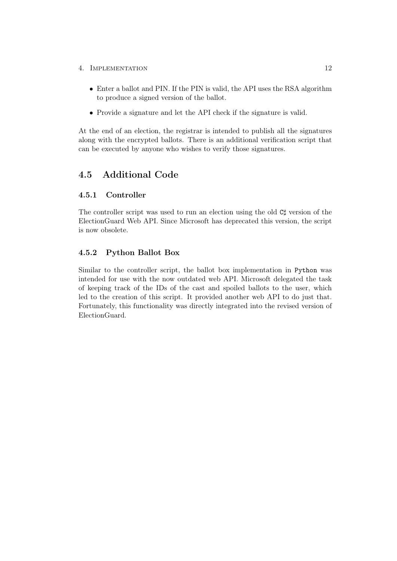- 4. IMPLEMENTATION 12
	- Enter a ballot and PIN. If the PIN is valid, the API uses the RSA algorithm to produce a signed version of the ballot.
	- Provide a signature and let the API check if the signature is valid.

At the end of an election, the registrar is intended to publish all the signatures along with the encrypted ballots. There is an additional verification script that can be executed by anyone who wishes to verify those signatures.

## <span id="page-16-0"></span>4.5 Additional Code

### <span id="page-16-1"></span>4.5.1 Controller

The controller script was used to run an election using the old  $C^{\dagger}$  version of the ElectionGuard Web API. Since Microsoft has deprecated this version, the script is now obsolete.

### <span id="page-16-2"></span>4.5.2 Python Ballot Box

Similar to the controller script, the ballot box implementation in Python was intended for use with the now outdated web API. Microsoft delegated the task of keeping track of the IDs of the cast and spoiled ballots to the user, which led to the creation of this script. It provided another web API to do just that. Fortunately, this functionality was directly integrated into the revised version of ElectionGuard.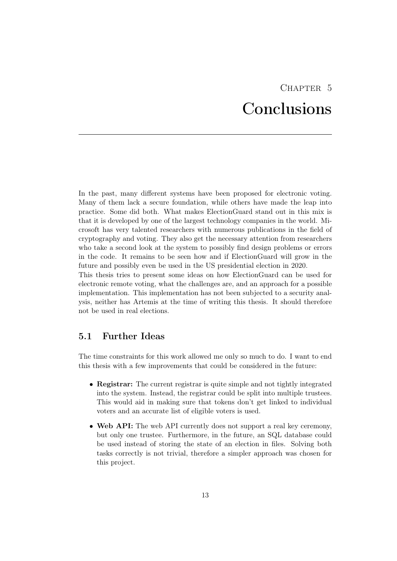# CHAPTER 5 Conclusions

<span id="page-17-0"></span>In the past, many different systems have been proposed for electronic voting. Many of them lack a secure foundation, while others have made the leap into practice. Some did both. What makes ElectionGuard stand out in this mix is that it is developed by one of the largest technology companies in the world. Microsoft has very talented researchers with numerous publications in the field of cryptography and voting. They also get the necessary attention from researchers who take a second look at the system to possibly find design problems or errors in the code. It remains to be seen how and if ElectionGuard will grow in the future and possibly even be used in the US presidential election in 2020.

This thesis tries to present some ideas on how ElectionGuard can be used for electronic remote voting, what the challenges are, and an approach for a possible implementation. This implementation has not been subjected to a security analysis, neither has Artemis at the time of writing this thesis. It should therefore not be used in real elections.

## <span id="page-17-1"></span>5.1 Further Ideas

The time constraints for this work allowed me only so much to do. I want to end this thesis with a few improvements that could be considered in the future:

- Registrar: The current registrar is quite simple and not tightly integrated into the system. Instead, the registrar could be split into multiple trustees. This would aid in making sure that tokens don't get linked to individual voters and an accurate list of eligible voters is used.
- Web API: The web API currently does not support a real key ceremony, but only one trustee. Furthermore, in the future, an SQL database could be used instead of storing the state of an election in files. Solving both tasks correctly is not trivial, therefore a simpler approach was chosen for this project.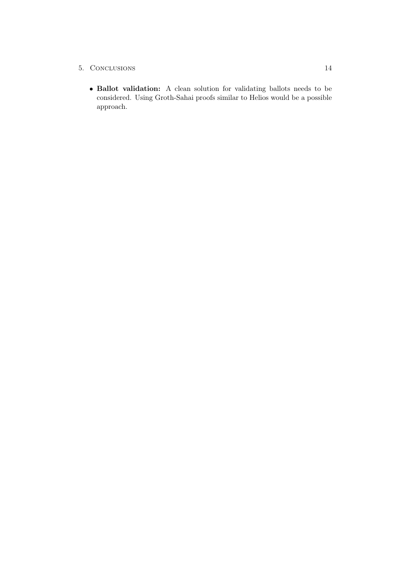- 5. Conclusions 14
	- Ballot validation: A clean solution for validating ballots needs to be considered. Using Groth-Sahai proofs similar to Helios would be a possible approach.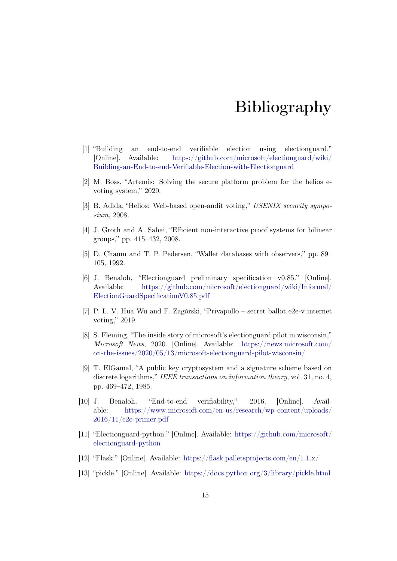# Bibliography

- <span id="page-19-1"></span><span id="page-19-0"></span>[1] "Building an end-to-end verifiable election using electionguard." [Online]. Available: [https://github.com/microsoft/electionguard/wiki/](https://github.com/microsoft/electionguard/wiki/Building-an-End-to-end-Verifiable-Election-with-Electionguard) [Building-an-End-to-end-Verifiable-Election-with-Electionguard](https://github.com/microsoft/electionguard/wiki/Building-an-End-to-end-Verifiable-Election-with-Electionguard)
- <span id="page-19-2"></span>[2] M. Boss, "Artemis: Solving the secure platform problem for the helios evoting system," 2020.
- <span id="page-19-3"></span>[3] B. Adida, "Helios: Web-based open-audit voting," USENIX security symposium, 2008.
- <span id="page-19-4"></span>[4] J. Groth and A. Sahai, "Efficient non-interactive proof systems for bilinear groups," pp. 415–432, 2008.
- <span id="page-19-5"></span>[5] D. Chaum and T. P. Pedersen, "Wallet databases with observers," pp. 89– 105, 1992.
- <span id="page-19-6"></span>[6] J. Benaloh, "Electionguard preliminary specification v0.85." [Online]. Available: [https://github.com/microsoft/electionguard/wiki/Informal/](https://github.com/microsoft/electionguard/wiki/Informal/ElectionGuardSpecificationV0.85.pdf) [ElectionGuardSpecificationV0.85.pdf](https://github.com/microsoft/electionguard/wiki/Informal/ElectionGuardSpecificationV0.85.pdf)
- <span id="page-19-7"></span>[7] P. L. V. Hua Wu and F. Zagórski, "Privapollo – secret ballot e2e-v internet voting," 2019.
- <span id="page-19-8"></span>[8] S. Fleming, "The inside story of microsoft's electionguard pilot in wisconsin," Microsoft News, 2020. [Online]. Available: [https://news.microsoft.com/](https://news.microsoft.com/on-the-issues/2020/05/13/microsoft-electionguard-pilot-wisconsin/) [on-the-issues/2020/05/13/microsoft-electionguard-pilot-wisconsin/](https://news.microsoft.com/on-the-issues/2020/05/13/microsoft-electionguard-pilot-wisconsin/)
- <span id="page-19-9"></span>[9] T. ElGamal, "A public key cryptosystem and a signature scheme based on discrete logarithms," IEEE transactions on information theory, vol. 31, no. 4, pp. 469–472, 1985.
- <span id="page-19-10"></span>[10] J. Benaloh, "End-to-end verifiability," 2016. [Online]. Available: [https://www.microsoft.com/en-us/research/wp-content/uploads/](https://www.microsoft.com/en-us/research/wp-content/uploads/2016/11/e2e-primer.pdf) [2016/11/e2e-primer.pdf](https://www.microsoft.com/en-us/research/wp-content/uploads/2016/11/e2e-primer.pdf)
- <span id="page-19-11"></span>[11] "Electionguard-python." [Online]. Available: [https://github.com/microsoft/](https://github.com/microsoft/electionguard-python) [electionguard-python](https://github.com/microsoft/electionguard-python)
- <span id="page-19-12"></span>[12] "Flask." [Online]. Available: <https://flask.palletsprojects.com/en/1.1.x/>
- <span id="page-19-13"></span>[13] "pickle." [Online]. Available: <https://docs.python.org/3/library/pickle.html>